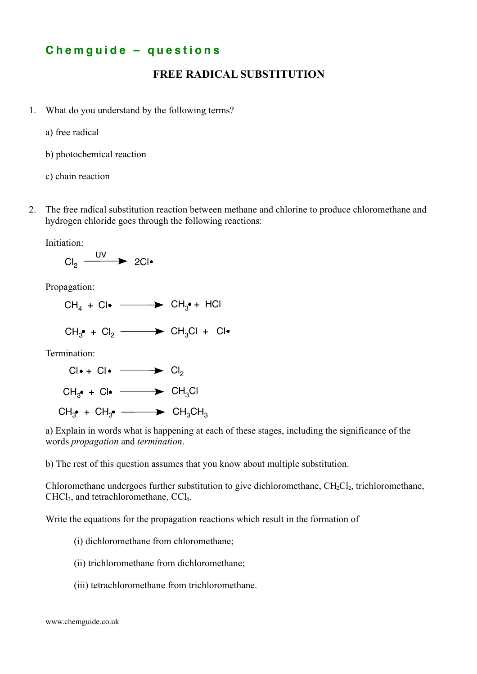## **C h e m g u i d e – q u e s t i o n s**

## **FREE RADICAL SUBSTITUTION**

- 1. What do you understand by the following terms?
	- a) free radical
	- b) photochemical reaction
	- c) chain reaction
- 2. The free radical substitution reaction between methane and chlorine to produce chloromethane and hydrogen chloride goes through the following reactions:

Initiation:

$$
\text{Cl}_2 \xrightarrow{\text{UV}} 2\text{Cl} \bullet
$$

Propagation:

- $CH_4 + Cl^{\bullet} \longrightarrow CH_3^{\bullet} + HCl$
- $CH_{3}^{\bullet}$  +  $Cl_{2}$   $\longrightarrow$   $CH_{3}Cl$  +  $Cl$

Termination:



a) Explain in words what is happening at each of these stages, including the significance of the words *propagation* and *termination*.

b) The rest of this question assumes that you know about multiple substitution.

Chloromethane undergoes further substitution to give dichloromethane,  $CH_2Cl_2$ , trichloromethane, CHCl<sub>3</sub>, and tetrachloromethane, CCl<sub>4</sub>.

Write the equations for the propagation reactions which result in the formation of

(i) dichloromethane from chloromethane;

- (ii) trichloromethane from dichloromethane;
- (iii) tetrachloromethane from trichloromethane.